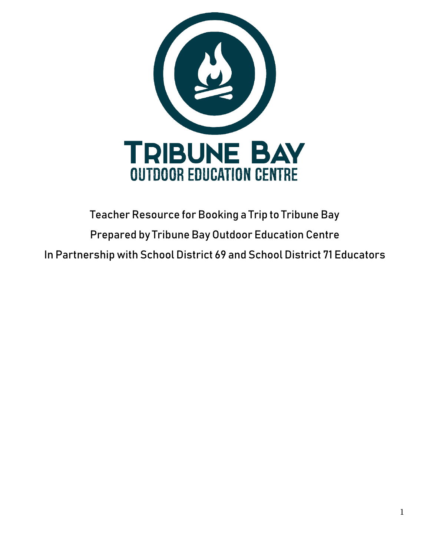

# Teacher Resource for Booking a Trip to Tribune Bay Prepared by Tribune Bay Outdoor Education Centre In Partnership with School District 69 and School District 71 Educators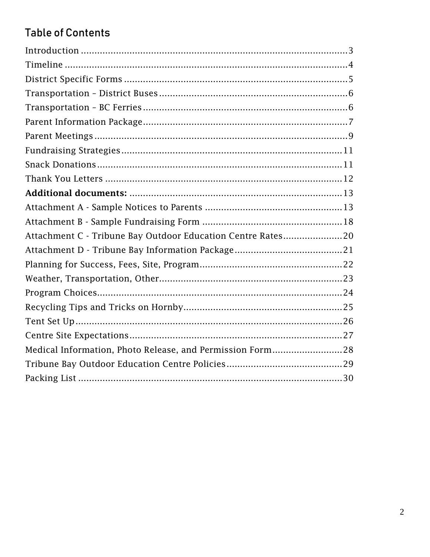# **Table of Contents**

| Attachment C - Tribune Bay Outdoor Education Centre Rates20 |  |
|-------------------------------------------------------------|--|
|                                                             |  |
|                                                             |  |
|                                                             |  |
|                                                             |  |
|                                                             |  |
|                                                             |  |
|                                                             |  |
| Medical Information, Photo Release, and Permission Form28   |  |
|                                                             |  |
|                                                             |  |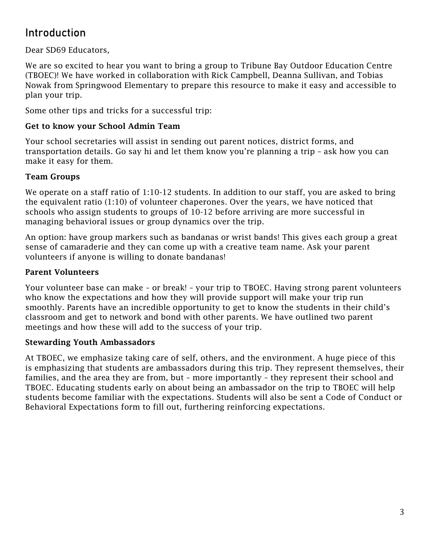### <span id="page-2-0"></span>Introduction

Dear SD69 Educators,

We are so excited to hear you want to bring a group to Tribune Bay Outdoor Education Centre (TBOEC)! We have worked in collaboration with Rick Campbell, Deanna Sullivan, and Tobias Nowak from Springwood Elementary to prepare this resource to make it easy and accessible to plan your trip.

Some other tips and tricks for a successful trip:

#### Get to know your School Admin Team

Your school secretaries will assist in sending out parent notices, district forms, and transportation details. Go say hi and let them know you're planning a trip – ask how you can make it easy for them.

#### Team Groups

We operate on a staff ratio of 1:10-12 students. In addition to our staff, you are asked to bring the equivalent ratio (1:10) of volunteer chaperones. Over the years, we have noticed that schools who assign students to groups of 10-12 before arriving are more successful in managing behavioral issues or group dynamics over the trip.

An option: have group markers such as bandanas or wrist bands! This gives each group a great sense of camaraderie and they can come up with a creative team name. Ask your parent volunteers if anyone is willing to donate bandanas!

#### Parent Volunteers

Your volunteer base can make – or break! – your trip to TBOEC. Having strong parent volunteers who know the expectations and how they will provide support will make your trip run smoothly. Parents have an incredible opportunity to get to know the students in their child's classroom and get to network and bond with other parents. We have outlined two parent meetings and how these will add to the success of your trip.

#### Stewarding Youth Ambassadors

At TBOEC, we emphasize taking care of self, others, and the environment. A huge piece of this is emphasizing that students are ambassadors during this trip. They represent themselves, their families, and the area they are from, but – more importantly – they represent their school and TBOEC. Educating students early on about being an ambassador on the trip to TBOEC will help students become familiar with the expectations. Students will also be sent a Code of Conduct or Behavioral Expectations form to fill out, furthering reinforcing expectations.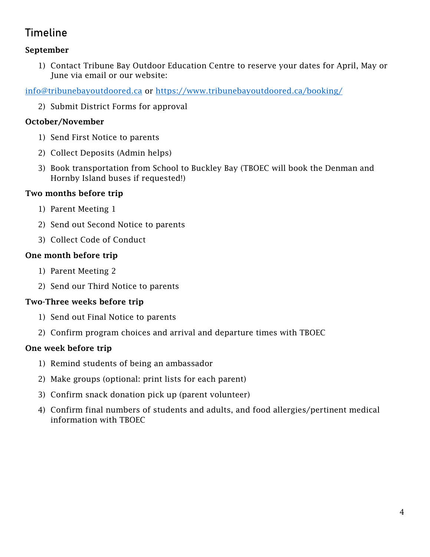### <span id="page-3-0"></span>Timeline

### September

1) Contact Tribune Bay Outdoor Education Centre to reserve your dates for April, May or June via email or our website:

[info@tribunebayoutdoored.ca](mailto:info@tribunebayoutdoored.ca) or<https://www.tribunebayoutdoored.ca/booking/>

2) Submit District Forms for approval

### October/November

- 1) Send First Notice to parents
- 2) Collect Deposits (Admin helps)
- 3) Book transportation from School to Buckley Bay (TBOEC will book the Denman and Hornby Island buses if requested!)

### Two months before trip

- 1) Parent Meeting 1
- 2) Send out Second Notice to parents
- 3) Collect Code of Conduct

### One month before trip

- 1) Parent Meeting 2
- 2) Send our Third Notice to parents

### Two-Three weeks before trip

- 1) Send out Final Notice to parents
- 2) Confirm program choices and arrival and departure times with TBOEC

### One week before trip

- 1) Remind students of being an ambassador
- 2) Make groups (optional: print lists for each parent)
- 3) Confirm snack donation pick up (parent volunteer)
- 4) Confirm final numbers of students and adults, and food allergies/pertinent medical information with TBOEC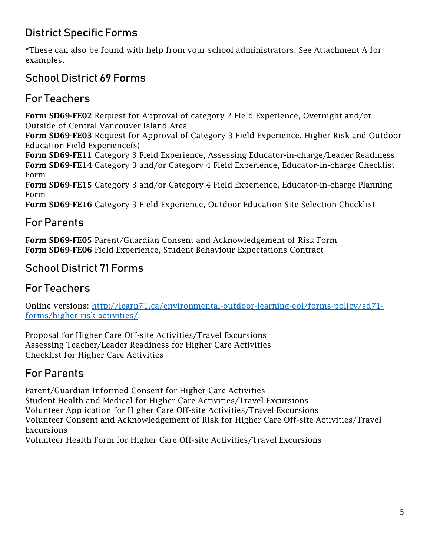# <span id="page-4-0"></span>District Specific Forms

\*These can also be found with help from your school administrators. See Attachment A for examples.

# School District 69 Forms

# For Teachers

Form SD69-FE02 Request for Approval of category 2 Field Experience, Overnight and/or Outside of Central Vancouver Island Area

Form SD69-FE03 Request for Approval of Category 3 Field Experience, Higher Risk and Outdoor Education Field Experience(s)

Form SD69-FE11 Category 3 Field Experience, Assessing Educator-in-charge/Leader Readiness Form SD69-FE14 Category 3 and/or Category 4 Field Experience, Educator-in-charge Checklist Form

Form SD69-FE15 Category 3 and/or Category 4 Field Experience, Educator-in-charge Planning Form

Form SD69-FE16 Category 3 Field Experience, Outdoor Education Site Selection Checklist

# For Parents

Form SD69-FE05 Parent/Guardian Consent and Acknowledgement of Risk Form Form SD69-FE06 Field Experience, Student Behaviour Expectations Contract

### School District 71 Forms

# For Teachers

Online versions: [http://learn71.ca/environmental-outdoor-learning-eol/forms-policy/sd71](http://learn71.ca/environmental-outdoor-learning-eol/forms-policy/sd71-forms/higher-risk-activities/) [forms/higher-risk-activities/](http://learn71.ca/environmental-outdoor-learning-eol/forms-policy/sd71-forms/higher-risk-activities/)

Proposal for Higher Care Off-site Activities/Travel Excursions Assessing Teacher/Leader Readiness for Higher Care Activities Checklist for Higher Care Activities

# For Parents

Parent/Guardian Informed Consent for Higher Care Activities

Student Health and Medical for Higher Care Activities/Travel Excursions

Volunteer Application for Higher Care Off-site Activities/Travel Excursions

Volunteer Consent and Acknowledgement of Risk for Higher Care Off-site Activities/Travel Excursions

Volunteer Health Form for Higher Care Off-site Activities/Travel Excursions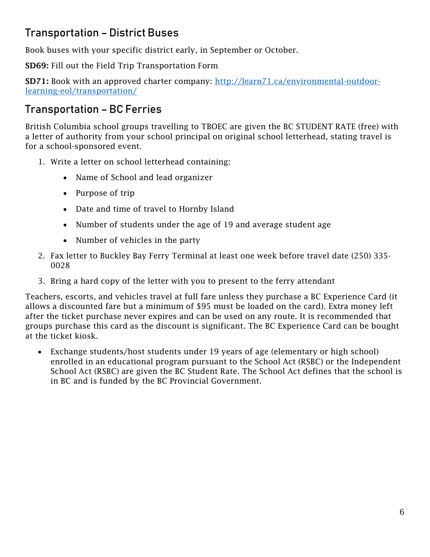# <span id="page-5-0"></span>Transportation – District Buses

Book buses with your specific district early, in September or October.

SD69: Fill out the Field Trip Transportation Form

SD71: Book with an approved charter company: [http://learn71.ca/environmental-outdoor](http://learn71.ca/environmental-outdoor-learning-eol/transportation/)[learning-eol/transportation/](http://learn71.ca/environmental-outdoor-learning-eol/transportation/)

### <span id="page-5-1"></span>Transportation – BC Ferries

British Columbia school groups travelling to TBOEC are given the BC STUDENT RATE (free) with a letter of authority from your school principal on original school letterhead, stating travel is for a school-sponsored event.

- 1. Write a letter on school letterhead containing:
	- Name of School and lead organizer
	- Purpose of trip
	- Date and time of travel to Hornby Island
	- Number of students under the age of 19 and average student age
	- Number of vehicles in the party
- 2. Fax letter to Buckley Bay Ferry Terminal at least one week before travel date (250) 335- 0028
- 3. Bring a hard copy of the letter with you to present to the ferry attendant

Teachers, escorts, and vehicles travel at full fare unless they purchase a BC Experience Card (it allows a discounted fare but a minimum of \$95 must be loaded on the card). Extra money left after the ticket purchase never expires and can be used on any route. It is recommended that groups purchase this card as the discount is significant. The BC Experience Card can be bought at the ticket kiosk.

• Exchange students/host students under 19 years of age (elementary or high school) enrolled in an educational program pursuant to the School Act (RSBC) or the Independent School Act (RSBC) are given the BC Student Rate. The School Act defines that the school is in BC and is funded by the BC Provincial Government.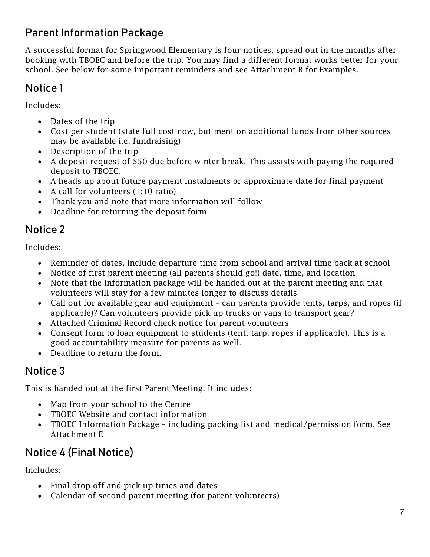# <span id="page-6-0"></span>Parent Information Package

A successful format for Springwood Elementary is four notices, spread out in the months after booking with TBOEC and before the trip. You may find a different format works better for your school. See below for some important reminders and see Attachment B for Examples.

# Notice 1

Includes:

- Dates of the trip
- Cost per student (state full cost now, but mention additional funds from other sources may be available i.e. fundraising)
- Description of the trip
- A deposit request of \$50 due before winter break. This assists with paying the required deposit to TBOEC.
- A heads up about future payment instalments or approximate date for final payment
- A call for volunteers (1:10 ratio)
- Thank you and note that more information will follow
- Deadline for returning the deposit form

### Notice 2

Includes:

- Reminder of dates, include departure time from school and arrival time back at school
- Notice of first parent meeting (all parents should go!) date, time, and location
- Note that the information package will be handed out at the parent meeting and that volunteers will stay for a few minutes longer to discuss details
- Call out for available gear and equipment can parents provide tents, tarps, and ropes (if applicable)? Can volunteers provide pick up trucks or vans to transport gear?
- Attached Criminal Record check notice for parent volunteers
- Consent form to loan equipment to students (tent, tarp, ropes if applicable). This is a good accountability measure for parents as well.
- Deadline to return the form.

# Notice 3

This is handed out at the first Parent Meeting. It includes:

- Map from your school to the Centre
- TBOEC Website and contact information
- TBOEC Information Package including packing list and medical/permission form. See Attachment E

# Notice 4 (Final Notice)

Includes:

- Final drop off and pick up times and dates
- Calendar of second parent meeting (for parent volunteers)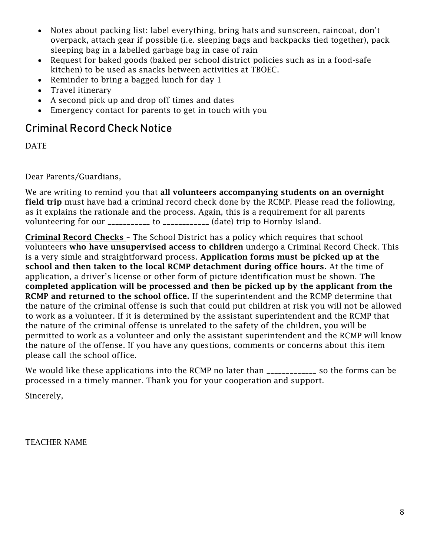- Notes about packing list: label everything, bring hats and sunscreen, raincoat, don't overpack, attach gear if possible (i.e. sleeping bags and backpacks tied together), pack sleeping bag in a labelled garbage bag in case of rain
- Request for baked goods (baked per school district policies such as in a food-safe kitchen) to be used as snacks between activities at TBOEC.
- Reminder to bring a bagged lunch for day 1
- Travel itinerary
- A second pick up and drop off times and dates
- Emergency contact for parents to get in touch with you

### Criminal Record Check Notice

DATE

Dear Parents/Guardians,

We are writing to remind you that **all volunteers accompanying students on an overnight** field trip must have had a criminal record check done by the RCMP. Please read the following, as it explains the rationale and the process. Again, this is a requirement for all parents volunteering for our \_\_\_\_\_\_\_\_\_\_\_ to \_\_\_\_\_\_\_\_\_\_\_\_ (date) trip to Hornby Island.

Criminal Record Checks – The School District has a policy which requires that school volunteers who have unsupervised access to children undergo a Criminal Record Check. This is a very simle and straightforward process. Application forms must be picked up at the school and then taken to the local RCMP detachment during office hours. At the time of application, a driver's license or other form of picture identification must be shown. The completed application will be processed and then be picked up by the applicant from the RCMP and returned to the school office. If the superintendent and the RCMP determine that the nature of the criminal offense is such that could put children at risk you will not be allowed to work as a volunteer. If it is determined by the assistant superintendent and the RCMP that the nature of the criminal offense is unrelated to the safety of the children, you will be permitted to work as a volunteer and only the assistant superintendent and the RCMP will know the nature of the offense. If you have any questions, comments or concerns about this item please call the school office.

We would like these applications into the RCMP no later than \_\_\_\_\_\_\_\_\_\_\_\_\_ so the forms can be processed in a timely manner. Thank you for your cooperation and support.

Sincerely,

TEACHER NAME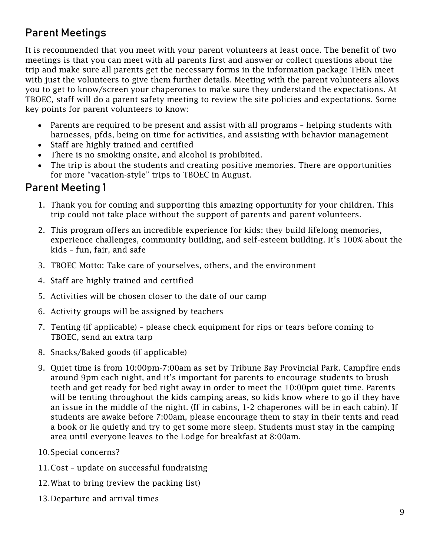# <span id="page-8-0"></span>Parent Meetings

It is recommended that you meet with your parent volunteers at least once. The benefit of two meetings is that you can meet with all parents first and answer or collect questions about the trip and make sure all parents get the necessary forms in the information package THEN meet with just the volunteers to give them further details. Meeting with the parent volunteers allows you to get to know/screen your chaperones to make sure they understand the expectations. At TBOEC, staff will do a parent safety meeting to review the site policies and expectations. Some key points for parent volunteers to know:

- Parents are required to be present and assist with all programs helping students with harnesses, pfds, being on time for activities, and assisting with behavior management
- Staff are highly trained and certified
- There is no smoking onsite, and alcohol is prohibited.
- The trip is about the students and creating positive memories. There are opportunities for more "vacation-style" trips to TBOEC in August.

### Parent Meeting 1

- 1. Thank you for coming and supporting this amazing opportunity for your children. This trip could not take place without the support of parents and parent volunteers.
- 2. This program offers an incredible experience for kids: they build lifelong memories, experience challenges, community building, and self-esteem building. It's 100% about the kids – fun, fair, and safe
- 3. TBOEC Motto: Take care of yourselves, others, and the environment
- 4. Staff are highly trained and certified
- 5. Activities will be chosen closer to the date of our camp
- 6. Activity groups will be assigned by teachers
- 7. Tenting (if applicable) please check equipment for rips or tears before coming to TBOEC, send an extra tarp
- 8. Snacks/Baked goods (if applicable)
- 9. Quiet time is from 10:00pm-7:00am as set by Tribune Bay Provincial Park. Campfire ends around 9pm each night, and it's important for parents to encourage students to brush teeth and get ready for bed right away in order to meet the 10:00pm quiet time. Parents will be tenting throughout the kids camping areas, so kids know where to go if they have an issue in the middle of the night. (If in cabins, 1-2 chaperones will be in each cabin). If students are awake before 7:00am, please encourage them to stay in their tents and read a book or lie quietly and try to get some more sleep. Students must stay in the camping area until everyone leaves to the Lodge for breakfast at 8:00am.
- 10.Special concerns?
- 11.Cost update on successful fundraising
- 12.What to bring (review the packing list)
- 13.Departure and arrival times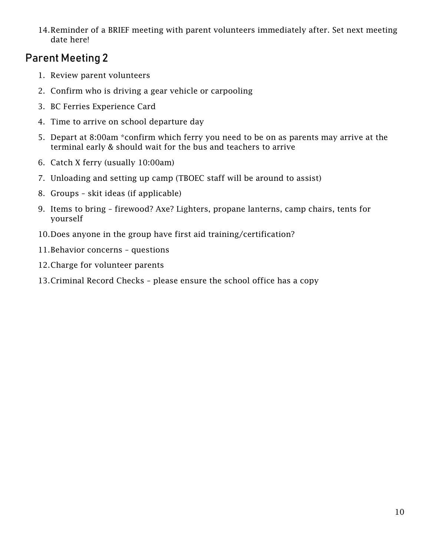14.Reminder of a BRIEF meeting with parent volunteers immediately after. Set next meeting date here!

### Parent Meeting 2

- 1. Review parent volunteers
- 2. Confirm who is driving a gear vehicle or carpooling
- 3. BC Ferries Experience Card
- 4. Time to arrive on school departure day
- 5. Depart at 8:00am \*confirm which ferry you need to be on as parents may arrive at the terminal early & should wait for the bus and teachers to arrive
- 6. Catch X ferry (usually 10:00am)
- 7. Unloading and setting up camp (TBOEC staff will be around to assist)
- 8. Groups skit ideas (if applicable)
- 9. Items to bring firewood? Axe? Lighters, propane lanterns, camp chairs, tents for yourself
- 10.Does anyone in the group have first aid training/certification?
- 11.Behavior concerns questions
- 12.Charge for volunteer parents
- 13.Criminal Record Checks please ensure the school office has a copy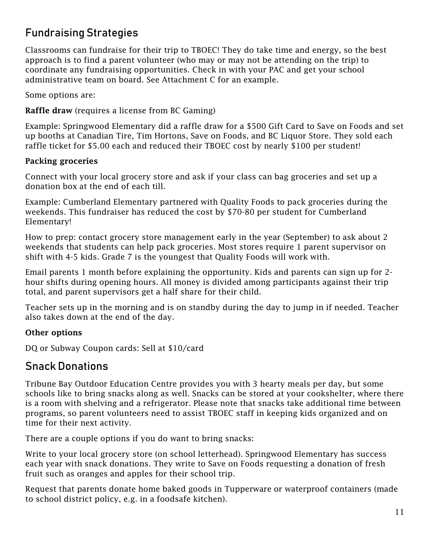## <span id="page-10-0"></span>Fundraising Strategies

Classrooms can fundraise for their trip to TBOEC! They do take time and energy, so the best approach is to find a parent volunteer (who may or may not be attending on the trip) to coordinate any fundraising opportunities. Check in with your PAC and get your school administrative team on board. See Attachment C for an example.

Some options are:

Raffle draw (requires a license from BC Gaming)

Example: Springwood Elementary did a raffle draw for a \$500 Gift Card to Save on Foods and set up booths at Canadian Tire, Tim Hortons, Save on Foods, and BC Liquor Store. They sold each raffle ticket for \$5.00 each and reduced their TBOEC cost by nearly \$100 per student!

#### Packing groceries

Connect with your local grocery store and ask if your class can bag groceries and set up a donation box at the end of each till.

Example: Cumberland Elementary partnered with Quality Foods to pack groceries during the weekends. This fundraiser has reduced the cost by \$70-80 per student for Cumberland Elementary!

How to prep: contact grocery store management early in the year (September) to ask about 2 weekends that students can help pack groceries. Most stores require 1 parent supervisor on shift with 4-5 kids. Grade 7 is the youngest that Quality Foods will work with.

Email parents 1 month before explaining the opportunity. Kids and parents can sign up for 2 hour shifts during opening hours. All money is divided among participants against their trip total, and parent supervisors get a half share for their child.

Teacher sets up in the morning and is on standby during the day to jump in if needed. Teacher also takes down at the end of the day.

#### Other options

DQ or Subway Coupon cards: Sell at \$10/card

### <span id="page-10-1"></span>Snack Donations

Tribune Bay Outdoor Education Centre provides you with 3 hearty meals per day, but some schools like to bring snacks along as well. Snacks can be stored at your cookshelter, where there is a room with shelving and a refrigerator. Please note that snacks take additional time between programs, so parent volunteers need to assist TBOEC staff in keeping kids organized and on time for their next activity.

There are a couple options if you do want to bring snacks:

Write to your local grocery store (on school letterhead). Springwood Elementary has success each year with snack donations. They write to Save on Foods requesting a donation of fresh fruit such as oranges and apples for their school trip.

Request that parents donate home baked goods in Tupperware or waterproof containers (made to school district policy, e.g. in a foodsafe kitchen).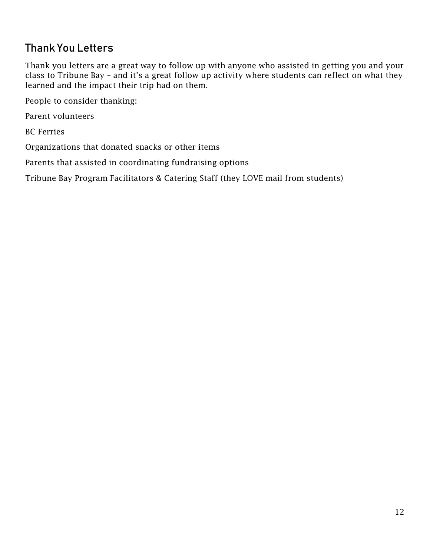# <span id="page-11-0"></span>Thank You Letters

Thank you letters are a great way to follow up with anyone who assisted in getting you and your class to Tribune Bay – and it's a great follow up activity where students can reflect on what they learned and the impact their trip had on them.

People to consider thanking:

Parent volunteers

BC Ferries

Organizations that donated snacks or other items

Parents that assisted in coordinating fundraising options

Tribune Bay Program Facilitators & Catering Staff (they LOVE mail from students)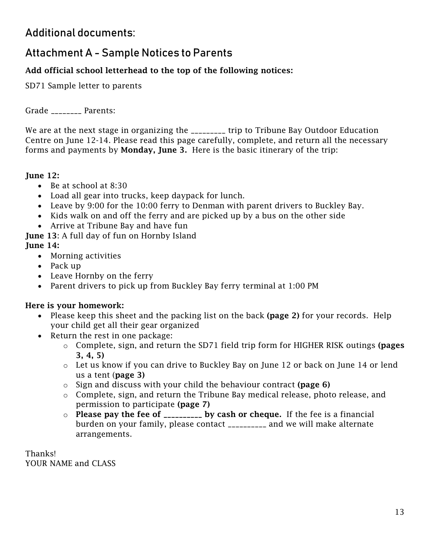### <span id="page-12-0"></span>Additional documents:

### <span id="page-12-1"></span>Attachment A - Sample Notices to Parents

### Add official school letterhead to the top of the following notices:

SD71 Sample letter to parents

Grade \_\_\_\_\_\_\_\_ Parents:

We are at the next stage in organizing the \_\_\_\_\_\_\_\_\_ trip to Tribune Bay Outdoor Education Centre on June 12-14. Please read this page carefully, complete, and return all the necessary forms and payments by **Monday, June 3.** Here is the basic itinerary of the trip:

#### June 12:

- Be at school at 8:30
- Load all gear into trucks, keep daypack for lunch.
- Leave by 9:00 for the 10:00 ferry to Denman with parent drivers to Buckley Bay.
- Kids walk on and off the ferry and are picked up by a bus on the other side
- Arrive at Tribune Bay and have fun

**June 13:** A full day of fun on Hornby Island

#### June 14:

- Morning activities
- Pack up
- Leave Hornby on the ferry
- Parent drivers to pick up from Buckley Bay ferry terminal at 1:00 PM

#### Here is your homework:

- Please keep this sheet and the packing list on the back (page 2) for your records. Help your child get all their gear organized
- Return the rest in one package:
	- o Complete, sign, and return the SD71 field trip form for HIGHER RISK outings (pages 3, 4, 5)
	- o Let us know if you can drive to Buckley Bay on June 12 or back on June 14 or lend us a tent (page 3)
	- $\circ$  Sign and discuss with your child the behaviour contract (page 6)
	- o Complete, sign, and return the Tribune Bay medical release, photo release, and permission to participate (page 7)
	- $\circ$  Please pay the fee of \_\_\_\_\_\_\_\_\_\_ by cash or cheque. If the fee is a financial burden on your family, please contact \_\_\_\_\_\_\_\_\_\_ and we will make alternate arrangements.

Thanks! YOUR NAME and CLASS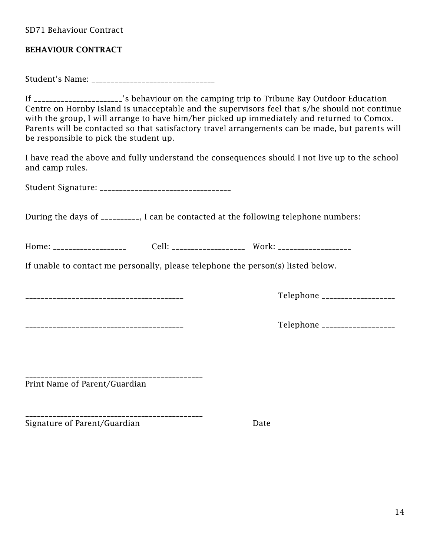SD71 Behaviour Contract

#### BEHAVIOUR CONTRACT

Student's Name: \_\_\_\_\_\_\_\_\_\_\_\_\_\_\_\_\_\_\_\_\_\_\_\_\_\_\_\_\_\_\_\_

If \_\_\_\_\_\_\_\_\_\_\_\_\_\_\_\_\_\_\_\_\_\_\_'s behaviour on the camping trip to Tribune Bay Outdoor Education Centre on Hornby Island is unacceptable and the supervisors feel that s/he should not continue with the group, I will arrange to have him/her picked up immediately and returned to Comox. Parents will be contacted so that satisfactory travel arrangements can be made, but parents will be responsible to pick the student up.

I have read the above and fully understand the consequences should I not live up to the school and camp rules.

Student Signature: \_\_\_\_\_\_\_\_\_\_\_\_\_\_\_\_\_\_\_\_\_\_\_\_\_\_\_\_\_\_\_\_\_\_

During the days of \_\_\_\_\_\_\_\_\_\_, I can be contacted at the following telephone numbers:

Home: \_\_\_\_\_\_\_\_\_\_\_\_\_\_\_\_\_\_\_ Cell: \_\_\_\_\_\_\_\_\_\_\_\_\_\_\_\_\_\_\_ Work: \_\_\_\_\_\_\_\_\_\_\_\_\_\_\_\_\_\_\_

If unable to contact me personally, please telephone the person(s) listed below.

\_\_\_\_\_\_\_\_\_\_\_\_\_\_\_\_\_\_\_\_\_\_\_\_\_\_\_\_\_\_\_\_\_\_\_\_\_\_\_\_\_ Telephone \_\_\_\_\_\_\_\_\_\_\_\_\_\_\_\_\_\_\_

\_\_\_\_\_\_\_\_\_\_\_\_\_\_\_\_\_\_\_\_\_\_\_\_\_\_\_\_\_\_\_\_\_\_\_\_\_\_\_\_\_\_\_\_\_\_

\_\_\_\_\_\_\_\_\_\_\_\_\_\_\_\_\_\_\_\_\_\_\_\_\_\_\_\_\_\_\_\_\_\_\_\_\_\_\_\_\_\_\_\_\_\_

\_\_\_\_\_\_\_\_\_\_\_\_\_\_\_\_\_\_\_\_\_\_\_\_\_\_\_\_\_\_\_\_\_\_\_\_\_\_\_\_\_ Telephone \_\_\_\_\_\_\_\_\_\_\_\_\_\_\_\_\_\_\_

Print Name of Parent/Guardian

Signature of Parent/Guardian Date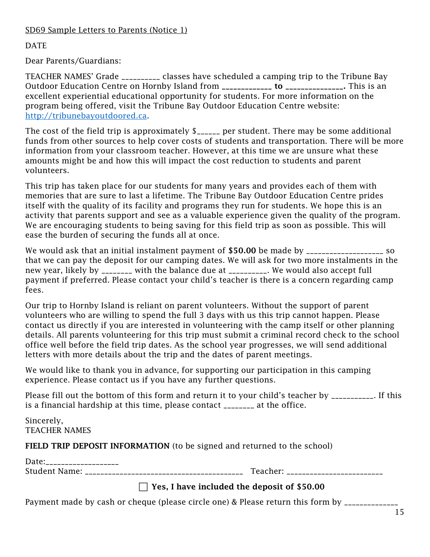DATE

Dear Parents/Guardians:

TEACHER NAMES' Grade \_\_\_\_\_\_\_\_\_\_ classes have scheduled a camping trip to the Tribune Bay Outdoor Education Centre on Hornby Island from \_\_\_\_\_\_\_\_\_\_\_\_\_\_\_\_ to \_\_\_\_\_\_\_\_\_\_\_\_\_\_. This is an excellent experiential educational opportunity for students. For more information on the program being offered, visit the Tribune Bay Outdoor Education Centre website: [http://tribunebayoutdoored.ca.](http://tribunebayoutdoored.ca/)

The cost of the field trip is approximately  $\frac{1}{2}$  per student. There may be some additional funds from other sources to help cover costs of students and transportation. There will be more information from your classroom teacher. However, at this time we are unsure what these amounts might be and how this will impact the cost reduction to students and parent volunteers.

This trip has taken place for our students for many years and provides each of them with memories that are sure to last a lifetime. The Tribune Bay Outdoor Education Centre prides itself with the quality of its facility and programs they run for students. We hope this is an activity that parents support and see as a valuable experience given the quality of the program. We are encouraging students to being saving for this field trip as soon as possible. This will ease the burden of securing the funds all at once.

We would ask that an initial instalment payment of \$50.00 be made by \_\_\_\_\_\_\_\_\_\_\_\_\_\_\_\_\_\_\_\_\_\_ so that we can pay the deposit for our camping dates. We will ask for two more instalments in the new year, likely by \_\_\_\_\_\_\_\_ with the balance due at \_\_\_\_\_\_\_\_\_\_. We would also accept full payment if preferred. Please contact your child's teacher is there is a concern regarding camp fees.

Our trip to Hornby Island is reliant on parent volunteers. Without the support of parent volunteers who are willing to spend the full 3 days with us this trip cannot happen. Please contact us directly if you are interested in volunteering with the camp itself or other planning details. All parents volunteering for this trip must submit a criminal record check to the school office well before the field trip dates. As the school year progresses, we will send additional letters with more details about the trip and the dates of parent meetings.

We would like to thank you in advance, for supporting our participation in this camping experience. Please contact us if you have any further questions.

Please fill out the bottom of this form and return it to your child's teacher by \_\_\_\_\_\_\_\_\_\_\_. If this is a financial hardship at this time, please contact \_\_\_\_\_\_\_\_ at the office.

Sincerely, TEACHER NAMES

FIELD TRIP DEPOSIT INFORMATION (to be signed and returned to the school)

| Date:                |          |
|----------------------|----------|
| <b>Student Name:</b> | Teacher: |
|                      |          |

### $\Box$  Yes, I have included the deposit of \$50.00

Payment made by cash or cheque (please circle one) & Please return this form by \_\_\_\_\_\_\_\_\_\_\_\_\_\_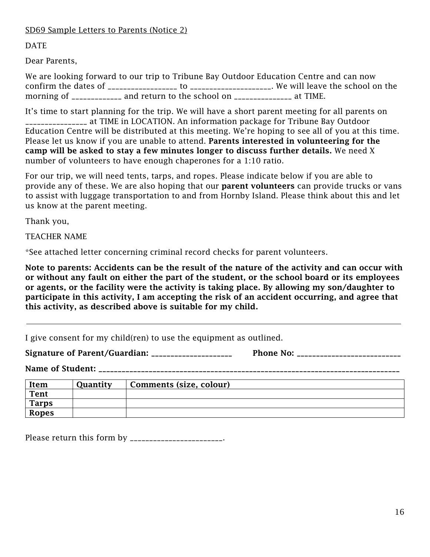DATE

Dear Parents,

We are looking forward to our trip to Tribune Bay Outdoor Education Centre and can now confirm the dates of \_\_\_\_\_\_\_\_\_\_\_\_\_\_\_\_\_\_ to \_\_\_\_\_\_\_\_\_\_\_\_\_\_\_\_\_\_\_\_\_. We will leave the school on the morning of \_\_\_\_\_\_\_\_\_\_\_\_\_ and return to the school on \_\_\_\_\_\_\_\_\_\_\_\_\_\_\_\_\_\_ at TIME.

It's time to start planning for the trip. We will have a short parent meeting for all parents on \_\_\_\_\_\_\_\_\_\_\_\_\_\_\_\_ at TIME in LOCATION. An information package for Tribune Bay Outdoor Education Centre will be distributed at this meeting. We're hoping to see all of you at this time. Please let us know if you are unable to attend. Parents interested in volunteering for the camp will be asked to stay a few minutes longer to discuss further details. We need X number of volunteers to have enough chaperones for a 1:10 ratio.

For our trip, we will need tents, tarps, and ropes. Please indicate below if you are able to provide any of these. We are also hoping that our **parent volunteers** can provide trucks or vans to assist with luggage transportation to and from Hornby Island. Please think about this and let us know at the parent meeting.

Thank you,

TEACHER NAME

\*See attached letter concerning criminal record checks for parent volunteers.

Note to parents: Accidents can be the result of the nature of the activity and can occur with or without any fault on either the part of the student, or the school board or its employees or agents, or the facility were the activity is taking place. By allowing my son/daughter to participate in this activity, I am accepting the risk of an accident occurring, and agree that this activity, as described above is suitable for my child.

I give consent for my child(ren) to use the equipment as outlined.

Signature of Parent/Guardian: \_\_\_\_\_\_\_\_\_\_\_\_\_\_\_\_\_\_\_\_\_ Phone No: \_\_\_\_\_\_\_\_\_\_\_\_\_\_\_\_\_\_\_\_\_\_\_\_\_\_\_

Name of Student: \_\_\_\_\_\_\_\_\_\_\_\_\_\_\_\_\_\_\_\_\_\_\_\_\_\_\_\_\_\_\_\_\_\_\_\_\_\_\_\_\_\_\_\_\_\_\_\_\_\_\_\_\_\_\_\_\_\_\_\_\_\_\_\_\_\_\_\_\_\_\_\_\_\_\_\_\_\_

| Item         | Quantity | Comments (size, colour) |  |
|--------------|----------|-------------------------|--|
| Tent         |          |                         |  |
| <b>Tarps</b> |          |                         |  |
| <b>Ropes</b> |          |                         |  |

Please return this form by \_\_\_\_\_\_\_\_\_\_\_\_\_\_\_\_\_\_\_\_\_\_\_.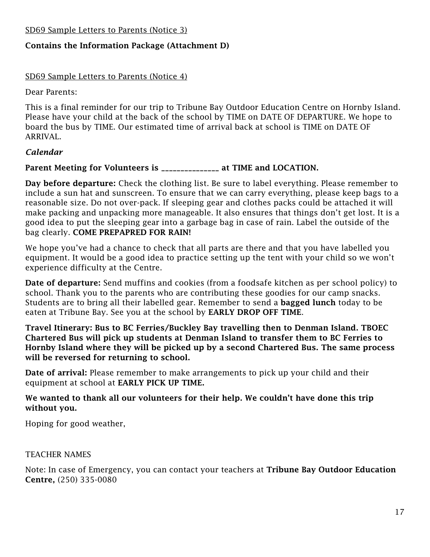SD69 Sample Letters to Parents (Notice 3)

#### Contains the Information Package (Attachment D)

#### SD69 Sample Letters to Parents (Notice 4)

Dear Parents:

This is a final reminder for our trip to Tribune Bay Outdoor Education Centre on Hornby Island. Please have your child at the back of the school by TIME on DATE OF DEPARTURE. We hope to board the bus by TIME. Our estimated time of arrival back at school is TIME on DATE OF ARRIVAL.

#### *Calendar*

### Parent Meeting for Volunteers is \_\_\_\_\_\_\_\_\_\_\_\_\_\_\_ at TIME and LOCATION.

Day before departure: Check the clothing list. Be sure to label everything. Please remember to include a sun hat and sunscreen. To ensure that we can carry everything, please keep bags to a reasonable size. Do not over-pack. If sleeping gear and clothes packs could be attached it will make packing and unpacking more manageable. It also ensures that things don't get lost. It is a good idea to put the sleeping gear into a garbage bag in case of rain. Label the outside of the bag clearly. COME PREPAPRED FOR RAIN!

We hope you've had a chance to check that all parts are there and that you have labelled you equipment. It would be a good idea to practice setting up the tent with your child so we won't experience difficulty at the Centre.

Date of departure: Send muffins and cookies (from a foodsafe kitchen as per school policy) to school. Thank you to the parents who are contributing these goodies for our camp snacks. Students are to bring all their labelled gear. Remember to send a bagged lunch today to be eaten at Tribune Bay. See you at the school by EARLY DROP OFF TIME.

Travel Itinerary: Bus to BC Ferries/Buckley Bay travelling then to Denman Island. TBOEC Chartered Bus will pick up students at Denman Island to transfer them to BC Ferries to Hornby Island where they will be picked up by a second Chartered Bus. The same process will be reversed for returning to school.

Date of arrival: Please remember to make arrangements to pick up your child and their equipment at school at EARLY PICK UP TIME.

#### We wanted to thank all our volunteers for their help. We couldn't have done this trip without you.

Hoping for good weather,

#### TEACHER NAMES

Note: In case of Emergency, you can contact your teachers at Tribune Bay Outdoor Education Centre, (250) 335-0080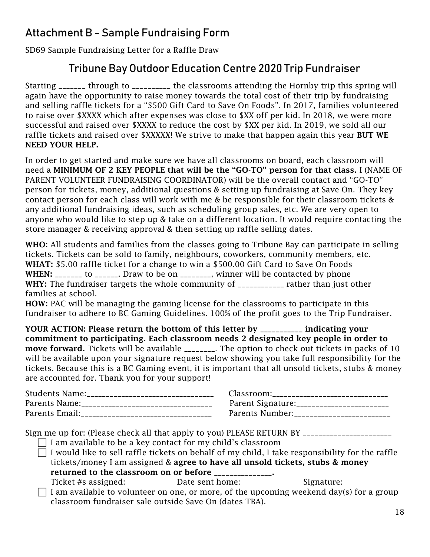# <span id="page-17-0"></span>Attachment B - Sample Fundraising Form

SD69 Sample Fundraising Letter for a Raffle Draw

### Tribune Bay Outdoor Education Centre 2020 Trip Fundraiser

Starting \_\_\_\_\_\_\_ through to \_\_\_\_\_\_\_\_\_\_ the classrooms attending the Hornby trip this spring will again have the opportunity to raise money towards the total cost of their trip by fundraising and selling raffle tickets for a "\$500 Gift Card to Save On Foods". In 2017, families volunteered to raise over \$XXXX which after expenses was close to \$XX off per kid. In 2018, we were more successful and raised over \$XXXX to reduce the cost by \$XX per kid. In 2019, we sold all our raffle tickets and raised over \$XXXXX! We strive to make that happen again this year BUT WE NEED YOUR HELP.

In order to get started and make sure we have all classrooms on board, each classroom will need a MINIMUM OF 2 KEY PEOPLE that will be the "GO-TO" person for that class. I (NAME OF PARENT VOLUNTEER FUNDRAISING COORDINATOR) will be the overall contact and "GO-TO" person for tickets, money, additional questions & setting up fundraising at Save On. They key contact person for each class will work with me & be responsible for their classroom tickets & any additional fundraising ideas, such as scheduling group sales, etc. We are very open to anyone who would like to step up & take on a different location. It would require contacting the store manager & receiving approval & then setting up raffle selling dates.

WHO: All students and families from the classes going to Tribune Bay can participate in selling tickets. Tickets can be sold to family, neighbours, coworkers, community members, etc. WHAT: \$5.00 raffle ticket for a change to win a \$500.00 Gift Card to Save On Foods WHEN: \_\_\_\_\_\_\_ to \_\_\_\_\_\_. Draw to be on \_\_\_\_\_\_\_\_, winner will be contacted by phone WHY: The fundraiser targets the whole community of \_\_\_\_\_\_\_\_\_\_\_\_ rather than just other families at school.

HOW: PAC will be managing the gaming license for the classrooms to participate in this fundraiser to adhere to BC Gaming Guidelines. 100% of the profit goes to the Trip Fundraiser.

YOUR ACTION: Please return the bottom of this letter by \_\_\_\_\_\_\_\_\_\_\_ indicating your commitment to participating. Each classroom needs 2 designated key people in order to move forward. Tickets will be available \_\_\_\_\_\_\_. The option to check out tickets in packs of 10 will be available upon your signature request below showing you take full responsibility for the tickets. Because this is a BC Gaming event, it is important that all unsold tickets, stubs & money are accounted for. Thank you for your support!

| Students Name:___________________________________ | Classroom:______________________________    |
|---------------------------------------------------|---------------------------------------------|
| Parents Name: ___________________________________ | Parent Signature: _________________________ |
|                                                   | Parents Number:__________________________   |

Sign me up for: (Please check all that apply to you) PLEASE RETURN BY \_\_\_\_\_\_\_\_\_\_\_\_\_\_\_\_\_\_\_\_\_\_\_

 $\Box$  I am available to be a key contact for my child's classroom

I would like to sell raffle tickets on behalf of my child, I take responsibility for the raffle tickets/money I am assigned & agree to have all unsold tickets, stubs & money returned to the classroom on or before \_\_\_\_\_\_\_\_\_\_\_\_\_\_.

Ticket #s assigned: Ticket #s assigned: Date sent home: Signature:

 $\Box$  I am available to volunteer on one, or more, of the upcoming weekend day(s) for a group classroom fundraiser sale outside Save On (dates TBA).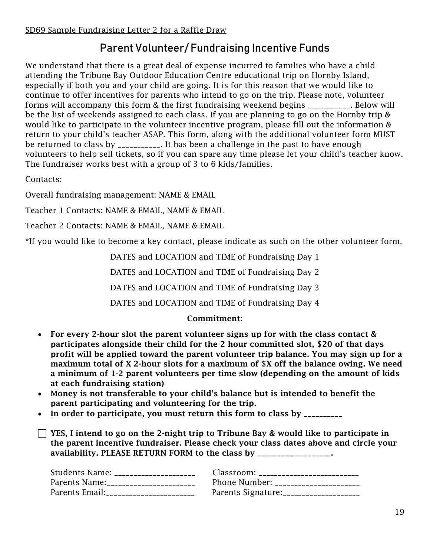# Parent Volunteer/ Fundraising Incentive Funds

We understand that there is a great deal of expense incurred to families who have a child attending the Tribune Bay Outdoor Education Centre educational trip on Hornby Island, especially if both you and your child are going. It is for this reason that we would like to continue to offer incentives for parents who intend to go on the trip. Please note, volunteer forms will accompany this form & the first fundraising weekend begins \_\_\_\_\_\_\_\_\_\_\_. Below will be the list of weekends assigned to each class. If you are planning to go on the Hornby trip & would like to participate in the volunteer incentive program, please fill out the information & return to your child's teacher ASAP. This form, along with the additional volunteer form MUST be returned to class by \_\_\_\_\_\_\_\_\_\_. It has been a challenge in the past to have enough volunteers to help sell tickets, so if you can spare any time please let your child's teacher know. The fundraiser works best with a group of 3 to 6 kids/families.

Contacts:

Overall fundraising management: NAME & EMAIL

Teacher 1 Contacts: NAME & EMAIL, NAME & EMAIL

Teacher 2 Contacts: NAME & EMAIL, NAME & EMAIL

\*If you would like to become a key contact, please indicate as such on the other volunteer form.

DATES and LOCATION and TIME of Fundraising Day 1

DATES and LOCATION and TIME of Fundraising Day 2

DATES and LOCATION and TIME of Fundraising Day 3

DATES and LOCATION and TIME of Fundraising Day 4

#### Commitment:

- For every 2-hour slot the parent volunteer signs up for with the class contact & participates alongside their child for the 2 hour committed slot, \$20 of that days profit will be applied toward the parent volunteer trip balance. You may sign up for a maximum total of X 2-hour slots for a maximum of \$X off the balance owing. We need a minimum of 1-2 parent volunteers per time slow (depending on the amount of kids at each fundraising station)
- Money is not transferable to your child's balance but is intended to benefit the parent participating and volunteering for the trip.
- In order to participate, you must return this form to class by \_\_\_\_\_\_\_\_\_\_

 $\Box$  YES, I intend to go on the 2-night trip to Tribune Bay & would like to participate in the parent incentive fundraiser. Please check your class dates above and circle your availability. PLEASE RETURN FORM to the class by \_\_\_\_\_\_\_\_\_\_\_\_\_\_\_\_\_\_.

| Students Name: _____________________    | Classroom: _________________________   |
|-----------------------------------------|----------------------------------------|
| Parents Name:_______________________    | Phone Number: ____________________     |
| Parents Email: ________________________ | Parents Signature:____________________ |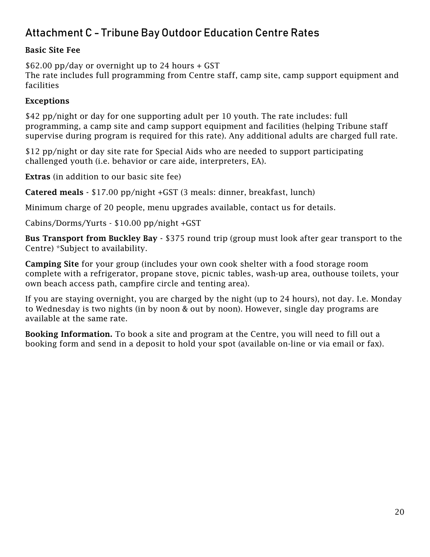# <span id="page-19-0"></span>Attachment C - Tribune Bay Outdoor Education Centre Rates

#### Basic Site Fee

\$62.00 pp/day or overnight up to 24 hours + GST The rate includes full programming from Centre staff, camp site, camp support equipment and facilities

#### Exceptions

\$42 pp/night or day for one supporting adult per 10 youth. The rate includes: full programming, a camp site and camp support equipment and facilities (helping Tribune staff supervise during program is required for this rate). Any additional adults are charged full rate.

\$12 pp/night or day site rate for Special Aids who are needed to support participating challenged youth (i.e. behavior or care aide, interpreters, EA).

Extras (in addition to our basic site fee)

Catered meals - \$17.00 pp/night +GST (3 meals: dinner, breakfast, lunch)

Minimum charge of 20 people, menu upgrades available, contact us for details.

Cabins/Dorms/Yurts - \$10.00 pp/night +GST

Bus Transport from Buckley Bay - \$375 round trip (group must look after gear transport to the Centre) \*Subject to availability.

Camping Site for your group (includes your own cook shelter with a food storage room complete with a refrigerator, propane stove, picnic tables, wash-up area, outhouse toilets, your own beach access path, campfire circle and tenting area).

If you are staying overnight, you are charged by the night (up to 24 hours), not day. I.e. Monday to Wednesday is two nights (in by noon & out by noon). However, single day programs are available at the same rate.

Booking Information. To book a site and program at the Centre, you will need to fill out a booking form and send in a deposit to hold your spot (available on-line or via email or fax).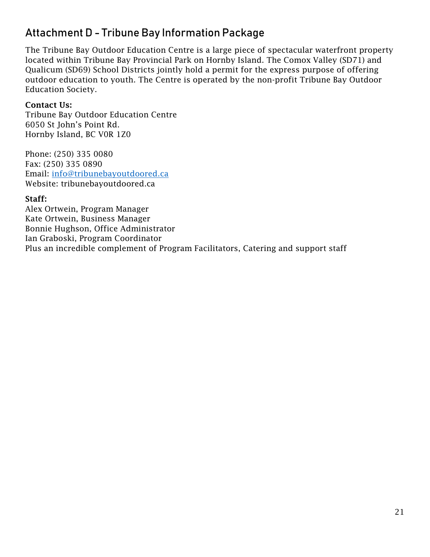## <span id="page-20-0"></span>Attachment D - Tribune Bay Information Package

The Tribune Bay Outdoor Education Centre is a large piece of spectacular waterfront property located within Tribune Bay Provincial Park on Hornby Island. The Comox Valley (SD71) and Qualicum (SD69) School Districts jointly hold a permit for the express purpose of offering outdoor education to youth. The Centre is operated by the non-profit Tribune Bay Outdoor Education Society.

#### Contact Us:

Tribune Bay Outdoor Education Centre 6050 St John's Point Rd. Hornby Island, BC V0R 1Z0

Phone: (250) 335 0080 Fax: (250) 335 0890 Email: [info@tribunebayoutdoored.ca](mailto:info@tribunebayoutdoored.ca) Website: tribunebayoutdoored.ca

#### Staff:

Alex Ortwein, Program Manager Kate Ortwein, Business Manager Bonnie Hughson, Office Administrator Ian Graboski, Program Coordinator Plus an incredible complement of Program Facilitators, Catering and support staff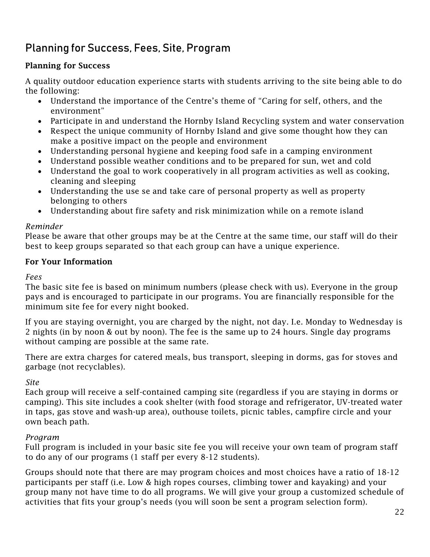# <span id="page-21-0"></span>Planning for Success, Fees, Site, Program

### Planning for Success

A quality outdoor education experience starts with students arriving to the site being able to do the following:

- Understand the importance of the Centre's theme of "Caring for self, others, and the environment"
- Participate in and understand the Hornby Island Recycling system and water conservation
- Respect the unique community of Hornby Island and give some thought how they can make a positive impact on the people and environment
- Understanding personal hygiene and keeping food safe in a camping environment
- Understand possible weather conditions and to be prepared for sun, wet and cold
- Understand the goal to work cooperatively in all program activities as well as cooking, cleaning and sleeping
- Understanding the use se and take care of personal property as well as property belonging to others
- Understanding about fire safety and risk minimization while on a remote island

#### *Reminder*

Please be aware that other groups may be at the Centre at the same time, our staff will do their best to keep groups separated so that each group can have a unique experience.

#### For Your Information

*Fees*

The basic site fee is based on minimum numbers (please check with us). Everyone in the group pays and is encouraged to participate in our programs. You are financially responsible for the minimum site fee for every night booked.

If you are staying overnight, you are charged by the night, not day. I.e. Monday to Wednesday is 2 nights (in by noon & out by noon). The fee is the same up to 24 hours. Single day programs without camping are possible at the same rate.

There are extra charges for catered meals, bus transport, sleeping in dorms, gas for stoves and garbage (not recyclables).

#### *Site*

Each group will receive a self-contained camping site (regardless if you are staying in dorms or camping). This site includes a cook shelter (with food storage and refrigerator, UV-treated water in taps, gas stove and wash-up area), outhouse toilets, picnic tables, campfire circle and your own beach path.

#### *Program*

Full program is included in your basic site fee you will receive your own team of program staff to do any of our programs (1 staff per every 8-12 students).

Groups should note that there are may program choices and most choices have a ratio of 18-12 participants per staff (i.e. Low & high ropes courses, climbing tower and kayaking) and your group many not have time to do all programs. We will give your group a customized schedule of activities that fits your group's needs (you will soon be sent a program selection form).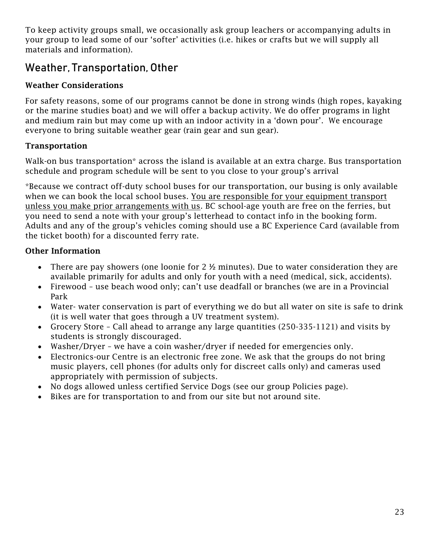To keep activity groups small, we occasionally ask group leachers or accompanying adults in your group to lead some of our 'softer' activities (i.e. hikes or crafts but we will supply all materials and information).

### <span id="page-22-0"></span>Weather, Transportation, Other

### Weather Considerations

For safety reasons, some of our programs cannot be done in strong winds (high ropes, kayaking or the marine studies boat) and we will offer a backup activity. We do offer programs in light and medium rain but may come up with an indoor activity in a 'down pour'. We encourage everyone to bring suitable weather gear (rain gear and sun gear).

### Transportation

Walk-on bus transportation\* across the island is available at an extra charge. Bus transportation schedule and program schedule will be sent to you close to your group's arrival

\*Because we contract off-duty school buses for our transportation, our busing is only available when we can book the local school buses. You are responsible for your equipment transport unless you make prior arrangements with us. BC school-age youth are free on the ferries, but you need to send a note with your group's letterhead to contact info in the booking form. Adults and any of the group's vehicles coming should use a BC Experience Card (available from the ticket booth) for a discounted ferry rate.

### Other Information

- There are pay showers (one loonie for 2  $\frac{1}{2}$  minutes). Due to water consideration they are available primarily for adults and only for youth with a need (medical, sick, accidents).
- Firewood use beach wood only; can't use deadfall or branches (we are in a Provincial Park
- Water- water conservation is part of everything we do but all water on site is safe to drink (it is well water that goes through a UV treatment system).
- Grocery Store Call ahead to arrange any large quantities (250-335-1121) and visits by students is strongly discouraged.
- Washer/Dryer we have a coin washer/dryer if needed for emergencies only.
- Electronics-our Centre is an electronic free zone. We ask that the groups do not bring music players, cell phones (for adults only for discreet calls only) and cameras used appropriately with permission of subjects.
- No dogs allowed unless certified Service Dogs (see our group Policies page).
- Bikes are for transportation to and from our site but not around site.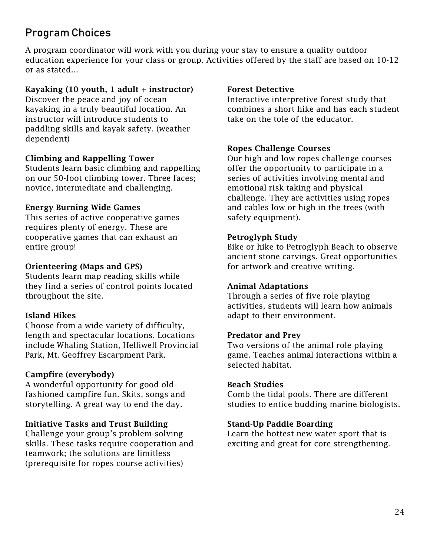# <span id="page-23-0"></span>Program Choices

A program coordinator will work with you during your stay to ensure a quality outdoor education experience for your class or group. Activities offered by the staff are based on 10-12 or as stated...

#### Kayaking  $(10$  youth, 1 adult + instructor)

Discover the peace and joy of ocean kayaking in a truly beautiful location. An instructor will introduce students to paddling skills and kayak safety. (weather dependent)

#### Climbing and Rappelling Tower

Students learn basic climbing and rappelling on our 50-foot climbing tower. Three faces; novice, intermediate and challenging.

#### Energy Burning Wide Games

This series of active cooperative games requires plenty of energy. These are cooperative games that can exhaust an entire group!

#### Orienteering (Maps and GPS)

Students learn map reading skills while they find a series of control points located throughout the site.

#### Island Hikes

Choose from a wide variety of difficulty, length and spectacular locations. Locations include Whaling Station, Helliwell Provincial Park, Mt. Geoffrey Escarpment Park.

#### Campfire (everybody)

A wonderful opportunity for good oldfashioned campfire fun. Skits, songs and storytelling. A great way to end the day.

#### Initiative Tasks and Trust Building

Challenge your group's problem-solving skills. These tasks require cooperation and teamwork; the solutions are limitless (prerequisite for ropes course activities)

#### Forest Detective

Interactive interpretive forest study that combines a short hike and has each student take on the tole of the educator.

#### Ropes Challenge Courses

Our high and low ropes challenge courses offer the opportunity to participate in a series of activities involving mental and emotional risk taking and physical challenge. They are activities using ropes and cables low or high in the trees (with safety equipment).

#### Petroglyph Study

Bike or hike to Petroglyph Beach to observe ancient stone carvings. Great opportunities for artwork and creative writing.

#### Animal Adaptations

Through a series of five role playing activities, students will learn how animals adapt to their environment.

#### Predator and Prey

Two versions of the animal role playing game. Teaches animal interactions within a selected habitat.

#### Beach Studies

Comb the tidal pools. There are different studies to entice budding marine biologists.

#### Stand-Up Paddle Boarding

Learn the hottest new water sport that is exciting and great for core strengthening.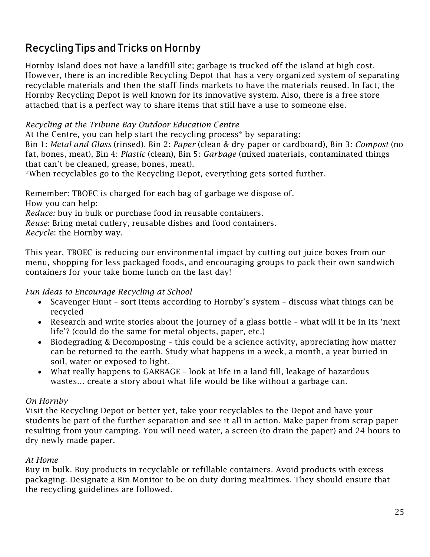# <span id="page-24-0"></span>Recycling Tips and Tricks on Hornby

Hornby Island does not have a landfill site; garbage is trucked off the island at high cost. However, there is an incredible Recycling Depot that has a very organized system of separating recyclable materials and then the staff finds markets to have the materials reused. In fact, the Hornby Recycling Depot is well known for its innovative system. Also, there is a free store attached that is a perfect way to share items that still have a use to someone else.

#### *Recycling at the Tribune Bay Outdoor Education Centre*

At the Centre, you can help start the recycling process\* by separating:

Bin 1: *Metal and Glass* (rinsed). Bin 2: *Paper* (clean & dry paper or cardboard), Bin 3: *Compost* (no fat, bones, meat), Bin 4: *Plastic* (clean), Bin 5: *Garbage* (mixed materials, contaminated things that can't be cleaned, grease, bones, meat).

\*When recyclables go to the Recycling Depot, everything gets sorted further.

Remember: TBOEC is charged for each bag of garbage we dispose of. How you can help: *Reduce:* buy in bulk or purchase food in reusable containers. *Reuse*: Bring metal cutlery, reusable dishes and food containers. *Recycle*: the Hornby way.

This year, TBOEC is reducing our environmental impact by cutting out juice boxes from our menu, shopping for less packaged foods, and encouraging groups to pack their own sandwich containers for your take home lunch on the last day!

#### *Fun Ideas to Encourage Recycling at School*

- Scavenger Hunt sort items according to Hornby's system discuss what things can be recycled
- Research and write stories about the journey of a glass bottle what will it be in its 'next life'? (could do the same for metal objects, paper, etc.)
- Biodegrading & Decomposing this could be a science activity, appreciating how matter can be returned to the earth. Study what happens in a week, a month, a year buried in soil, water or exposed to light.
- What really happens to GARBAGE look at life in a land fill, leakage of hazardous wastes… create a story about what life would be like without a garbage can.

#### *On Hornby*

Visit the Recycling Depot or better yet, take your recyclables to the Depot and have your students be part of the further separation and see it all in action. Make paper from scrap paper resulting from your camping. You will need water, a screen (to drain the paper) and 24 hours to dry newly made paper.

#### *At Home*

Buy in bulk. Buy products in recyclable or refillable containers. Avoid products with excess packaging. Designate a Bin Monitor to be on duty during mealtimes. They should ensure that the recycling guidelines are followed.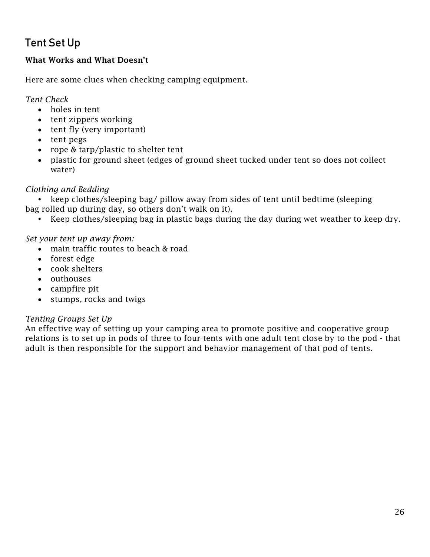# <span id="page-25-0"></span>Tent Set Up

### What Works and What Doesn't

Here are some clues when checking camping equipment.

*Tent Check* 

- holes in tent
- tent zippers working
- tent fly (very important)
- tent pegs
- rope & tarp/plastic to shelter tent
- plastic for ground sheet (edges of ground sheet tucked under tent so does not collect water)

#### *Clothing and Bedding*

• keep clothes/sleeping bag/ pillow away from sides of tent until bedtime (sleeping bag rolled up during day, so others don't walk on it).

Keep clothes/sleeping bag in plastic bags during the day during wet weather to keep dry.

#### *Set your tent up away from:*

- main traffic routes to beach & road
- forest edge
- cook shelters
- outhouses
- campfire pit
- stumps, rocks and twigs

#### *Tenting Groups Set Up*

An effective way of setting up your camping area to promote positive and cooperative group relations is to set up in pods of three to four tents with one adult tent close by to the pod - that adult is then responsible for the support and behavior management of that pod of tents.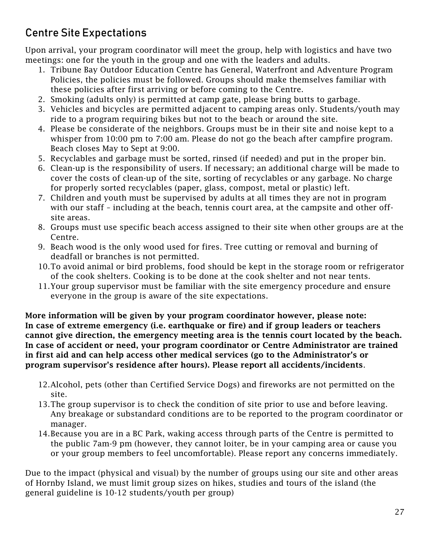# <span id="page-26-0"></span>Centre Site Expectations

Upon arrival, your program coordinator will meet the group, help with logistics and have two meetings: one for the youth in the group and one with the leaders and adults.

- 1. Tribune Bay Outdoor Education Centre has General, Waterfront and Adventure Program Policies, the policies must be followed. Groups should make themselves familiar with these policies after first arriving or before coming to the Centre.
- 2. Smoking (adults only) is permitted at camp gate, please bring butts to garbage.
- 3. Vehicles and bicycles are permitted adjacent to camping areas only. Students/youth may ride to a program requiring bikes but not to the beach or around the site.
- 4. Please be considerate of the neighbors. Groups must be in their site and noise kept to a whisper from 10:00 pm to 7:00 am. Please do not go the beach after campfire program. Beach closes May to Sept at 9:00.
- 5. Recyclables and garbage must be sorted, rinsed (if needed) and put in the proper bin.
- 6. Clean-up is the responsibility of users. If necessary; an additional charge will be made to cover the costs of clean-up of the site, sorting of recyclables or any garbage. No charge for properly sorted recyclables (paper, glass, compost, metal or plastic) left.
- 7. Children and youth must be supervised by adults at all times they are not in program with our staff – including at the beach, tennis court area, at the campsite and other offsite areas.
- 8. Groups must use specific beach access assigned to their site when other groups are at the Centre.
- 9. Beach wood is the only wood used for fires. Tree cutting or removal and burning of deadfall or branches is not permitted.
- 10.To avoid animal or bird problems, food should be kept in the storage room or refrigerator of the cook shelters. Cooking is to be done at the cook shelter and not near tents.
- 11.Your group supervisor must be familiar with the site emergency procedure and ensure everyone in the group is aware of the site expectations.

More information will be given by your program coordinator however, please note: In case of extreme emergency (i.e. earthquake or fire) and if group leaders or teachers cannot give direction, the emergency meeting area is the tennis court located by the beach. In case of accident or need, your program coordinator or Centre Administrator are trained in first aid and can help access other medical services (go to the Administrator's or program supervisor's residence after hours). Please report all accidents/incidents.

- 12.Alcohol, pets (other than Certified Service Dogs) and fireworks are not permitted on the site.
- 13.The group supervisor is to check the condition of site prior to use and before leaving. Any breakage or substandard conditions are to be reported to the program coordinator or manager.
- 14.Because you are in a BC Park, waking access through parts of the Centre is permitted to the public 7am-9 pm (however, they cannot loiter, be in your camping area or cause you or your group members to feel uncomfortable). Please report any concerns immediately.

Due to the impact (physical and visual) by the number of groups using our site and other areas of Hornby Island, we must limit group sizes on hikes, studies and tours of the island (the general guideline is 10-12 students/youth per group)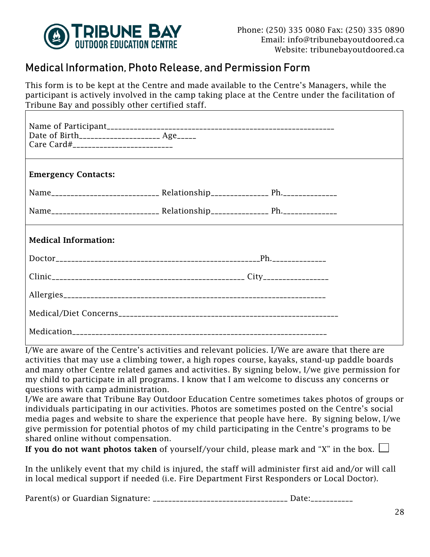

### <span id="page-27-0"></span>Medical Information, Photo Release, and Permission Form

This form is to be kept at the Centre and made available to the Centre's Managers, while the participant is actively involved in the camp taking place at the Centre under the facilitation of Tribune Bay and possibly other certified staff.

| Date of Birth________________________ Age______<br>Care Card#___________________________ |  |  |
|------------------------------------------------------------------------------------------|--|--|
| <b>Emergency Contacts:</b>                                                               |  |  |
|                                                                                          |  |  |
|                                                                                          |  |  |
| <b>Medical Information:</b>                                                              |  |  |
|                                                                                          |  |  |
|                                                                                          |  |  |
|                                                                                          |  |  |
|                                                                                          |  |  |
|                                                                                          |  |  |

I/We are aware of the Centre's activities and relevant policies. I/We are aware that there are activities that may use a climbing tower, a high ropes course, kayaks, stand-up paddle boards and many other Centre related games and activities. By signing below, I/we give permission for my child to participate in all programs. I know that I am welcome to discuss any concerns or questions with camp administration.

I/We are aware that Tribune Bay Outdoor Education Centre sometimes takes photos of groups or individuals participating in our activities. Photos are sometimes posted on the Centre's social media pages and website to share the experience that people have here. By signing below, I/we give permission for potential photos of my child participating in the Centre's programs to be shared online without compensation.

If you do not want photos taken of yourself/your child, please mark and "X" in the box.  $\Box$ 

In the unlikely event that my child is injured, the staff will administer first aid and/or will call in local medical support if needed (i.e. Fire Department First Responders or Local Doctor).

Parent(s) or Guardian Signature: \_\_\_\_\_\_\_\_\_\_\_\_\_\_\_\_\_\_\_\_\_\_\_\_\_\_\_\_\_\_\_\_\_\_\_ Date:\_\_\_\_\_\_\_\_\_\_\_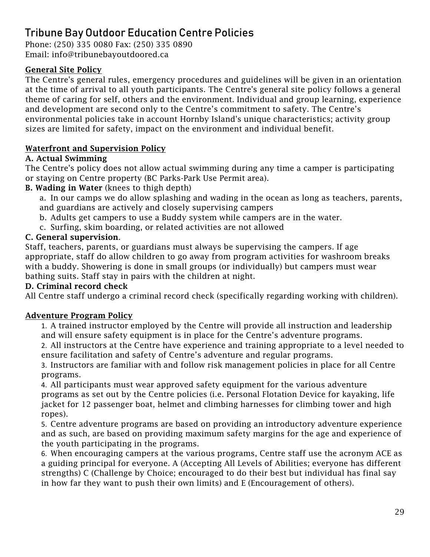# <span id="page-28-0"></span>Tribune Bay Outdoor Education Centre Policies

Phone: (250) 335 0080 Fax: (250) 335 0890 Email: info@tribunebayoutdoored.ca

### General Site Policy

The Centre's general rules, emergency procedures and guidelines will be given in an orientation at the time of arrival to all youth participants. The Centre's general site policy follows a general theme of caring for self, others and the environment. Individual and group learning, experience and development are second only to the Centre's commitment to safety. The Centre's environmental policies take in account Hornby Island's unique characteristics; activity group sizes are limited for safety, impact on the environment and individual benefit.

### Waterfront and Supervision Policy

### A. Actual Swimming

The Centre's policy does not allow actual swimming during any time a camper is participating or staying on Centre property (BC Parks-Park Use Permit area).

### B. Wading in Water (knees to thigh depth)

a. In our camps we do allow splashing and wading in the ocean as long as teachers, parents, and guardians are actively and closely supervising campers

- b. Adults get campers to use a Buddy system while campers are in the water.
- c. Surfing, skim boarding, or related activities are not allowed

### C. General supervision.

Staff, teachers, parents, or guardians must always be supervising the campers. If age appropriate, staff do allow children to go away from program activities for washroom breaks with a buddy. Showering is done in small groups (or individually) but campers must wear bathing suits. Staff stay in pairs with the children at night.

#### D. Criminal record check

All Centre staff undergo a criminal record check (specifically regarding working with children).

#### Adventure Program Policy

1. A trained instructor employed by the Centre will provide all instruction and leadership and will ensure safety equipment is in place for the Centre's adventure programs.

2. All instructors at the Centre have experience and training appropriate to a level needed to ensure facilitation and safety of Centre's adventure and regular programs.

3. Instructors are familiar with and follow risk management policies in place for all Centre programs.

4. All participants must wear approved safety equipment for the various adventure programs as set out by the Centre policies (i.e. Personal Flotation Device for kayaking, life jacket for 12 passenger boat, helmet and climbing harnesses for climbing tower and high ropes).

5. Centre adventure programs are based on providing an introductory adventure experience and as such, are based on providing maximum safety margins for the age and experience of the youth participating in the programs.

6. When encouraging campers at the various programs, Centre staff use the acronym ACE as a guiding principal for everyone. A (Accepting All Levels of Abilities; everyone has different strengths) C (Challenge by Choice; encouraged to do their best but individual has final say in how far they want to push their own limits) and E (Encouragement of others).